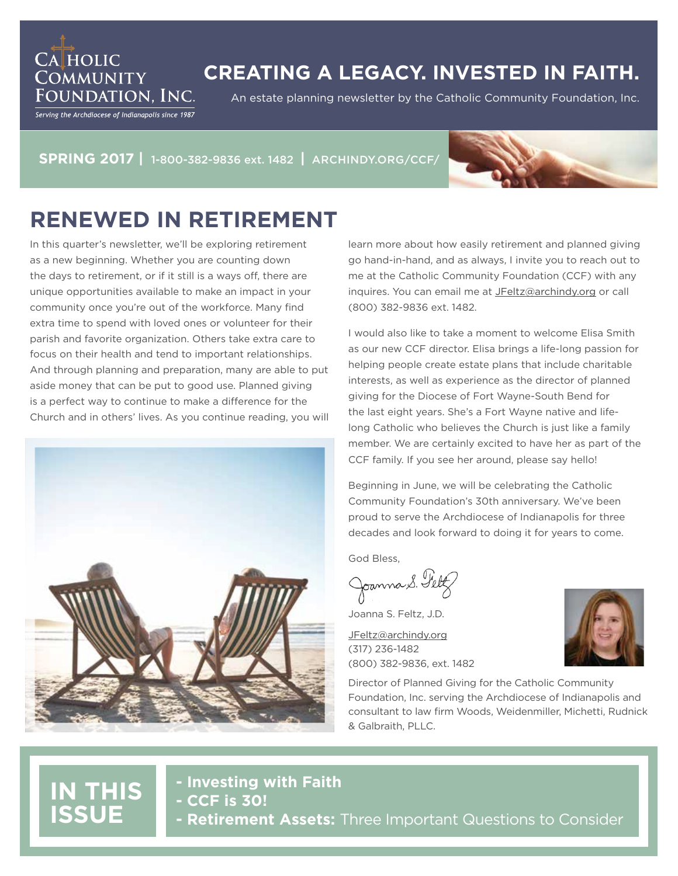## **CREATING A LEGACY. INVESTED IN FAITH.**

An estate planning newsletter by the Catholic Community Foundation, Inc.

Foundation. Inc. Serving the Archdiocese of Indianapolis since 1987

**CA HOLIC** 

**COMMUNITY** 

**SPRING 2017 |** 1-800-382-9836 ext. 1482 **|** ARCHINDY.ORG/CCF/



## **RENEWED IN RETIREMENT**

In this quarter's newsletter, we'll be exploring retirement as a new beginning. Whether you are counting down the days to retirement, or if it still is a ways off, there are unique opportunities available to make an impact in your community once you're out of the workforce. Many find extra time to spend with loved ones or volunteer for their parish and favorite organization. Others take extra care to focus on their health and tend to important relationships. And through planning and preparation, many are able to put aside money that can be put to good use. Planned giving is a perfect way to continue to make a difference for the Church and in others' lives. As you continue reading, you will



learn more about how easily retirement and planned giving go hand-in-hand, and as always, I invite you to reach out to me at the Catholic Community Foundation (CCF) with any inquires. You can email me at JFeltz@archindy.org or call (800) 382-9836 ext. 1482.

I would also like to take a moment to welcome Elisa Smith as our new CCF director. Elisa brings a life-long passion for helping people create estate plans that include charitable interests, as well as experience as the director of planned giving for the Diocese of Fort Wayne-South Bend for the last eight years. She's a Fort Wayne native and lifelong Catholic who believes the Church is just like a family member. We are certainly excited to have her as part of the CCF family. If you see her around, please say hello!

Beginning in June, we will be celebrating the Catholic Community Foundation's 30th anniversary. We've been proud to serve the Archdiocese of Indianapolis for three decades and look forward to doing it for years to come.

God Bless,

Joanna S. Feltz

Joanna S. Feltz, J.D.

JFeltz@archindy.org (317) 236-1482 (800) 382-9836, ext. 1482

Director of Planned Giving for the Catholic Community Foundation, Inc. serving the Archdiocese of Indianapolis and consultant to law firm Woods, Weidenmiller, Michetti, Rudnick & Galbraith, PLLC.

## **IN THIS ISSUE**

**- Investing with Faith - CCF is 30! - Retirement Assets:** Three Important Questions to Consider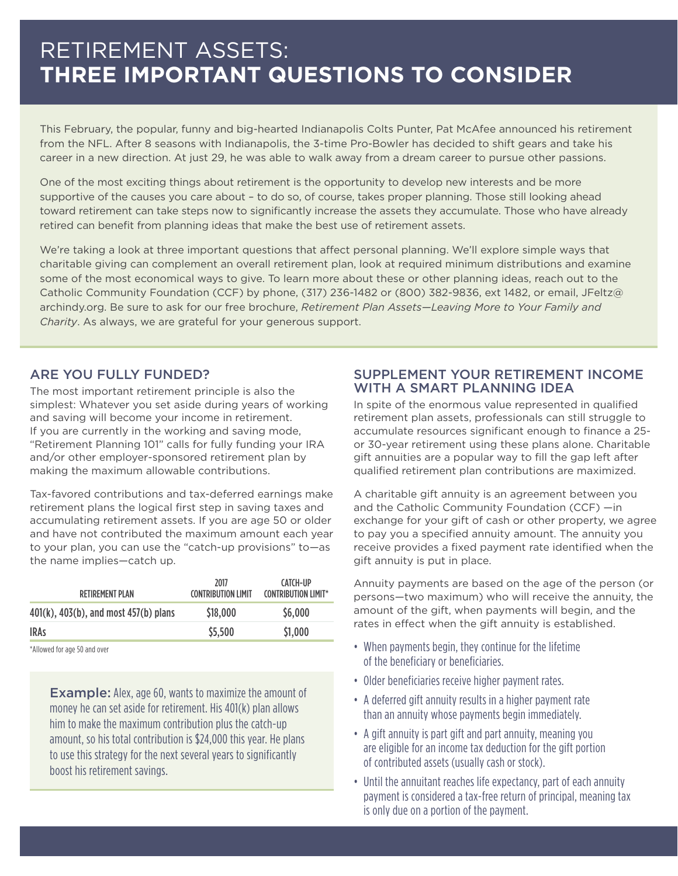## RETIREMENT ASSETS: **THREE IMPORTANT QUESTIONS TO CONSIDER**

This February, the popular, funny and big-hearted Indianapolis Colts Punter, Pat McAfee announced his retirement from the NFL. After 8 seasons with Indianapolis, the 3-time Pro-Bowler has decided to shift gears and take his career in a new direction. At just 29, he was able to walk away from a dream career to pursue other passions.

One of the most exciting things about retirement is the opportunity to develop new interests and be more supportive of the causes you care about – to do so, of course, takes proper planning. Those still looking ahead toward retirement can take steps now to significantly increase the assets they accumulate. Those who have already retired can benefit from planning ideas that make the best use of retirement assets.

We're taking a look at three important questions that affect personal planning. We'll explore simple ways that charitable giving can complement an overall retirement plan, look at required minimum distributions and examine some of the most economical ways to give. To learn more about these or other planning ideas, reach out to the Catholic Community Foundation (CCF) by phone, (317) 236-1482 or (800) 382-9836, ext 1482, or email, JFeltz@ archindy.org. Be sure to ask for our free brochure, *Retirement Plan Assets—Leaving More to Your Family and Charity*. As always, we are grateful for your generous support.

#### ARE YOU FULLY FUNDED?

The most important retirement principle is also the simplest: Whatever you set aside during years of working and saving will become your income in retirement. If you are currently in the working and saving mode, "Retirement Planning 101" calls for fully funding your IRA and/or other employer-sponsored retirement plan by making the maximum allowable contributions.

Tax-favored contributions and tax-deferred earnings make retirement plans the logical first step in saving taxes and accumulating retirement assets. If you are age 50 or older and have not contributed the maximum amount each year to your plan, you can use the "catch-up provisions" to—as the name implies—catch up.

| <b>RETIREMENT PLAN</b>                | 2017<br><b>CONTRIBUTION LIMIT</b> | CATCH-UP<br><b>CONTRIBUTION LIMIT*</b> |
|---------------------------------------|-----------------------------------|----------------------------------------|
| 401(k), 403(b), and most 457(b) plans | \$18,000                          | \$6,000                                |
| <b>IRAS</b>                           | \$5,500                           | \$1,000                                |

\*Allowed for age 50 and over

Example: Alex, age 60, wants to maximize the amount of money he can set aside for retirement. His 401(k) plan allows him to make the maximum contribution plus the catch-up amount, so his total contribution is \$24,000 this year. He plans to use this strategy for the next several years to significantly boost his retirement savings.

#### SUPPLEMENT YOUR RETIREMENT INCOME WITH A SMART PLANNING IDEA

In spite of the enormous value represented in qualified retirement plan assets, professionals can still struggle to accumulate resources significant enough to finance a 25 or 30-year retirement using these plans alone. Charitable gift annuities are a popular way to fill the gap left after qualified retirement plan contributions are maximized.

A charitable gift annuity is an agreement between you and the Catholic Community Foundation (CCF) —in exchange for your gift of cash or other property, we agree to pay you a specified annuity amount. The annuity you receive provides a fixed payment rate identified when the gift annuity is put in place.

Annuity payments are based on the age of the person (or persons—two maximum) who will receive the annuity, the amount of the gift, when payments will begin, and the rates in effect when the gift annuity is established.

- When payments begin, they continue for the lifetime of the beneficiary or beneficiaries.
- Older beneficiaries receive higher payment rates.
- A deferred gift annuity results in a higher payment rate than an annuity whose payments begin immediately.
- A gift annuity is part gift and part annuity, meaning you are eligible for an income tax deduction for the gift portion of contributed assets (usually cash or stock).
- Until the annuitant reaches life expectancy, part of each annuity payment is considered a tax-free return of principal, meaning tax is only due on a portion of the payment.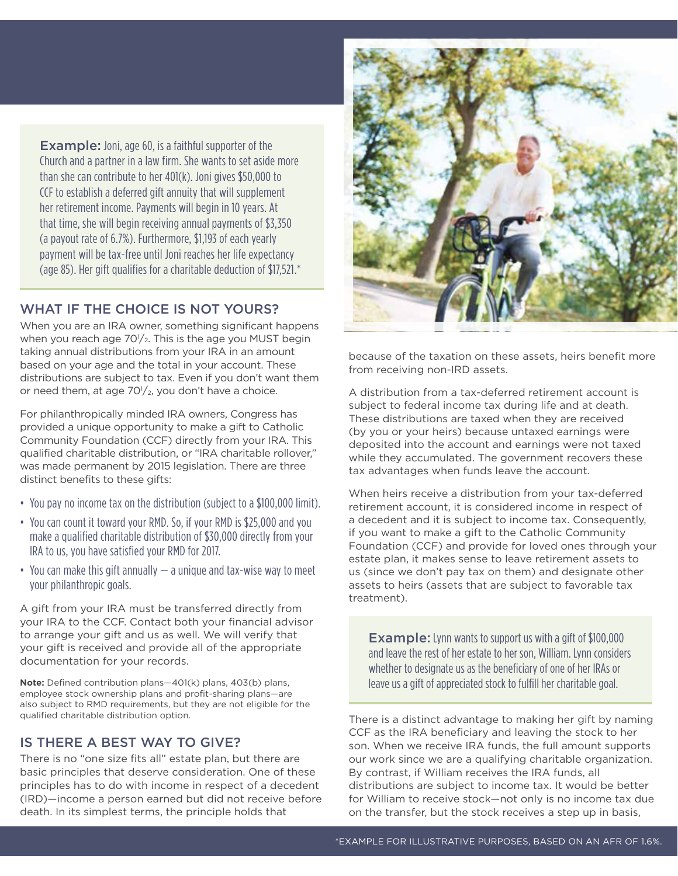Example: Joni, age 60, is a faithful supporter of the Church and a partner in a law firm. She wants to set aside more than she can contribute to her 401(k). Joni gives \$50,000 to CCF to establish a deferred gift annuity that will supplement her retirement income. Payments will begin in 10 years. At that time, she will begin receiving annual payments of \$3,350 (a payout rate of 6.7%). Furthermore, \$1,193 of each yearly payment will be tax-free until Joni reaches her life expectancy (age 85). Her gift qualifies for a charitable deduction of \$17,521.\*

### WHAT IF THE CHOICE IS NOT YOURS?

When you are an IRA owner, something significant happens when you reach age  $70\frac{1}{2}$ . This is the age you MUST begin taking annual distributions from your IRA in an amount based on your age and the total in your account. These distributions are subject to tax. Even if you don't want them or need them, at age  $70\frac{1}{2}$ , you don't have a choice.

For philanthropically minded IRA owners, Congress has provided a unique opportunity to make a gift to Catholic Community Foundation (CCF) directly from your IRA. This qualified charitable distribution, or "IRA charitable rollover," was made permanent by 2015 legislation. There are three distinct benefits to these gifts:

- You pay no income tax on the distribution (subject to a \$100,000 limit).
- You can count it toward your RMD. So, if your RMD is \$25,000 and you make a qualified charitable distribution of \$30,000 directly from your IRA to us, you have satisfied your RMD for 2017.
- You can make this gift annually a unique and tax-wise way to meet your philanthropic goals.

A gift from your IRA must be transferred directly from your IRA to the CCF. Contact both your financial advisor to arrange your gift and us as well. We will verify that your gift is received and provide all of the appropriate documentation for your records.

**Note:** Defined contribution plans—401(k) plans, 403(b) plans, employee stock ownership plans and profit-sharing plans—are also subject to RMD requirements, but they are not eligible for the qualified charitable distribution option.

#### IS THERE A BEST WAY TO GIVE?

There is no "one size fits all" estate plan, but there are basic principles that deserve consideration. One of these principles has to do with income in respect of a decedent (IRD)—income a person earned but did not receive before death. In its simplest terms, the principle holds that



because of the taxation on these assets, heirs benefit more from receiving non-IRD assets.

A distribution from a tax-deferred retirement account is subject to federal income tax during life and at death. These distributions are taxed when they are received (by you or your heirs) because untaxed earnings were deposited into the account and earnings were not taxed while they accumulated. The government recovers these tax advantages when funds leave the account.

When heirs receive a distribution from your tax-deferred retirement account, it is considered income in respect of a decedent and it is subject to income tax. Consequently, if you want to make a gift to the Catholic Community Foundation (CCF) and provide for loved ones through your estate plan, it makes sense to leave retirement assets to us (since we don't pay tax on them) and designate other assets to heirs (assets that are subject to favorable tax treatment).

**Example:** Lynn wants to support us with a gift of \$100,000 and leave the rest of her estate to her son, William. Lynn considers whether to designate us as the beneficiary of one of her IRAs or leave us a gift of appreciated stock to fulfill her charitable goal.

There is a distinct advantage to making her gift by naming CCF as the IRA beneficiary and leaving the stock to her son. When we receive IRA funds, the full amount supports our work since we are a qualifying charitable organization. By contrast, if William receives the IRA funds, all distributions are subject to income tax. It would be better for William to receive stock—not only is no income tax due on the transfer, but the stock receives a step up in basis,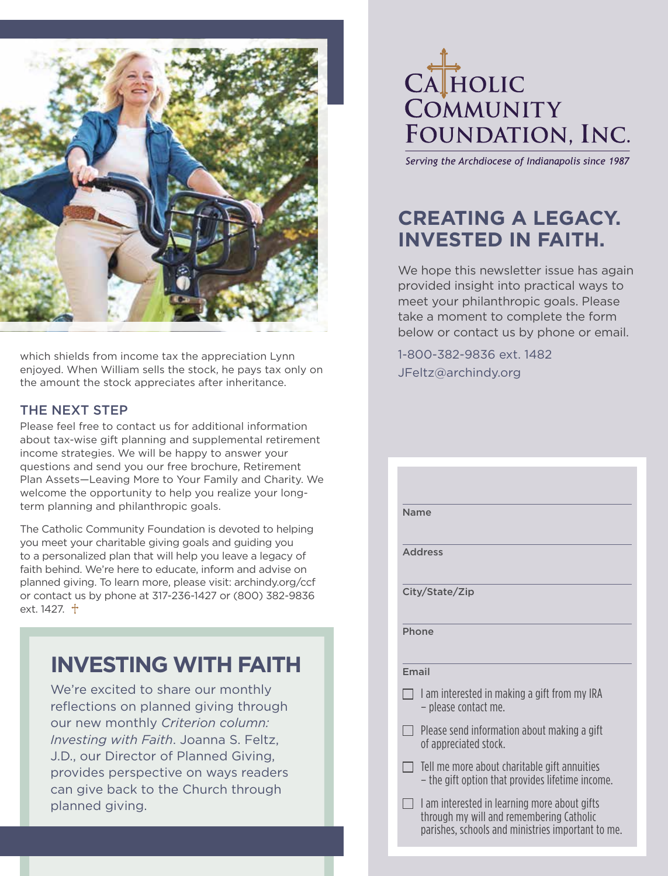

which shields from income tax the appreciation Lynn enjoyed. When William sells the stock, he pays tax only on the amount the stock appreciates after inheritance.

#### THE NEXT STEP

Please feel free to contact us for additional information about tax-wise gift planning and supplemental retirement income strategies. We will be happy to answer your questions and send you our free brochure, Retirement Plan Assets—Leaving More to Your Family and Charity. We welcome the opportunity to help you realize your longterm planning and philanthropic goals.

The Catholic Community Foundation is devoted to helping you meet your charitable giving goals and guiding you to a personalized plan that will help you leave a legacy of faith behind. We're here to educate, inform and advise on planned giving. To learn more, please visit: archindy.org/ccf or contact us by phone at 317-236-1427 or (800) 382-9836 ext.  $1427. +$ 

## **INVESTING WITH FAITH**

We're excited to share our monthly reflections on planned giving through our new monthly *Criterion column: Investing with Faith*. Joanna S. Feltz, J.D., our Director of Planned Giving, provides perspective on ways readers can give back to the Church through planned giving.

## CATHOLIC COMMUNITY FOUNDATION, INC.

Serving the Archdiocese of Indianapolis since 1987

## **CREATING A LEGACY. INVESTED IN FAITH.**

We hope this newsletter issue has again provided insight into practical ways to meet your philanthropic goals. Please take a moment to complete the form below or contact us by phone or email.

1-800-382-9836 ext. 1482 JFeltz@archindy.org

| <b>Name</b>                                                                                                                                   |
|-----------------------------------------------------------------------------------------------------------------------------------------------|
| <b>Address</b>                                                                                                                                |
|                                                                                                                                               |
| City/State/Zip                                                                                                                                |
| Phone                                                                                                                                         |
| <b>Fmail</b>                                                                                                                                  |
| $\Box$ I am interested in making a gift from my IRA<br>- please contact me.                                                                   |
| Please send information about making a gift<br>of appreciated stock.                                                                          |
| Tell me more about charitable gift annuities<br>- the gift option that provides lifetime income.                                              |
| I am interested in learning more about gifts<br>through my will and remembering Catholic<br>parishes, schools and ministries important to me. |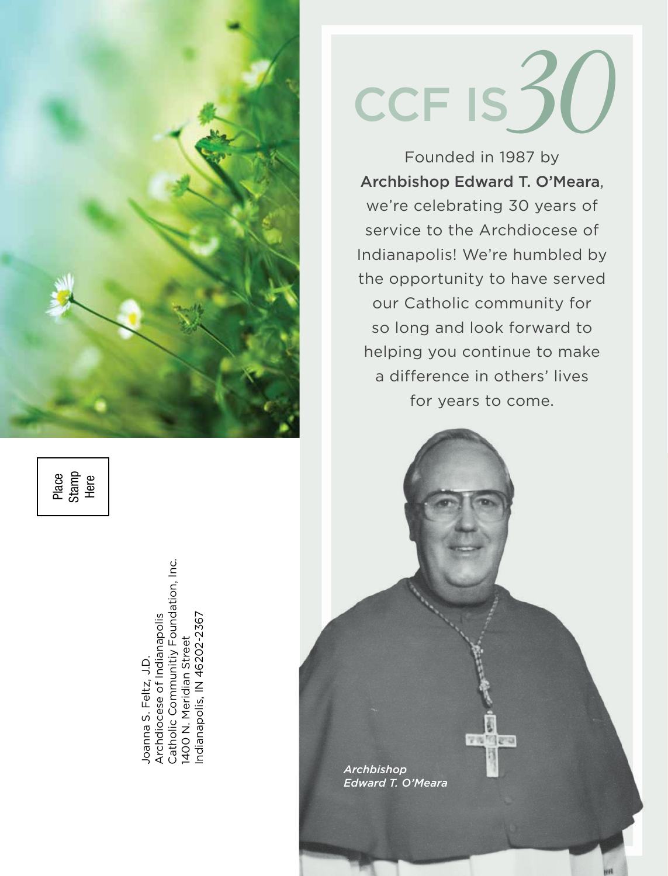

Place Stamp Here

Catholic Communitiy Foundation, Inc. Catholic Communitiy Foundation, Inc. Archdiocese of Indianapolis Indianapolis, IN 46202-2367 ndianapolis, IN 46202-2367 Archdiocese of Indianapolis 1400 N. Meridian Street 1400 N. Meridian Street Joanna S. Feltz, J.D. Joanna S. Feltz, J.D.

# CCF IS $30$

Founded in 1987 by Archbishop Edward T. O'Meara, we're celebrating 30 years of service to the Archdiocese of Indianapolis! We're humbled by the opportunity to have served our Catholic community for so long and look forward to helping you continue to make a difference in others' lives for years to come.

**A REAL PARTIES** *Archbishop Edward T. O'Meara*